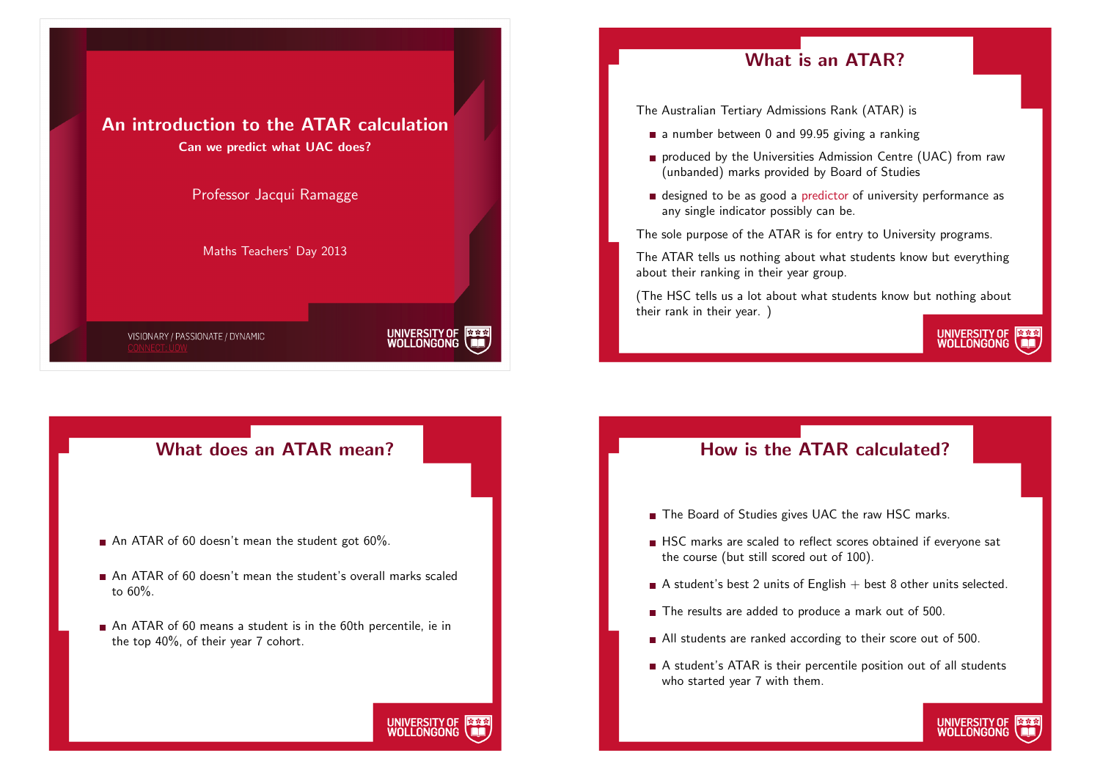

An introduction to the ATAR calculation

#### What does an ATAR mean?

- An ATAR of 60 doesn't mean the student got  $60\%$ .
- An ATAR of 60 doesn't mean the student's overall marks scaled to 60%.
- An ATAR of 60 means a student is in the 60th percentile, ie in the top 40%, of their year 7 cohort.

UNIVERSITY OF WOLLONGONG

## What is an ATAR?

The Australian Tertiary Admissions Rank (ATAR) is

- $\blacksquare$  a number between 0 and 99.95 giving a ranking
- **produced by the Universities Admission Centre (UAC) from raw** (unbanded) marks provided by Board of Studies
- designed to be as good a predictor of university performance as any single indicator possibly can be.

The sole purpose of the ATAR is for entry to University programs.

The ATAR tells us nothing about what students know but everything about their ranking in their year group.

(The HSC tells us a lot about what students know but nothing about their rank in their year. )

UNIVERSITY OF<br>WOLLONGONG

UNIVERSITY OF WOLLONGONG

How is the ATAR calculated?

- The Board of Studies gives UAC the raw HSC marks.
- HSC marks are scaled to reflect scores obtained if everyone sat the course (but still scored out of 100).
- A student's best 2 units of English  $+$  best 8 other units selected.
- The results are added to produce a mark out of 500.
- All students are ranked according to their score out of 500.
- A student's ATAR is their percentile position out of all students who started year 7 with them.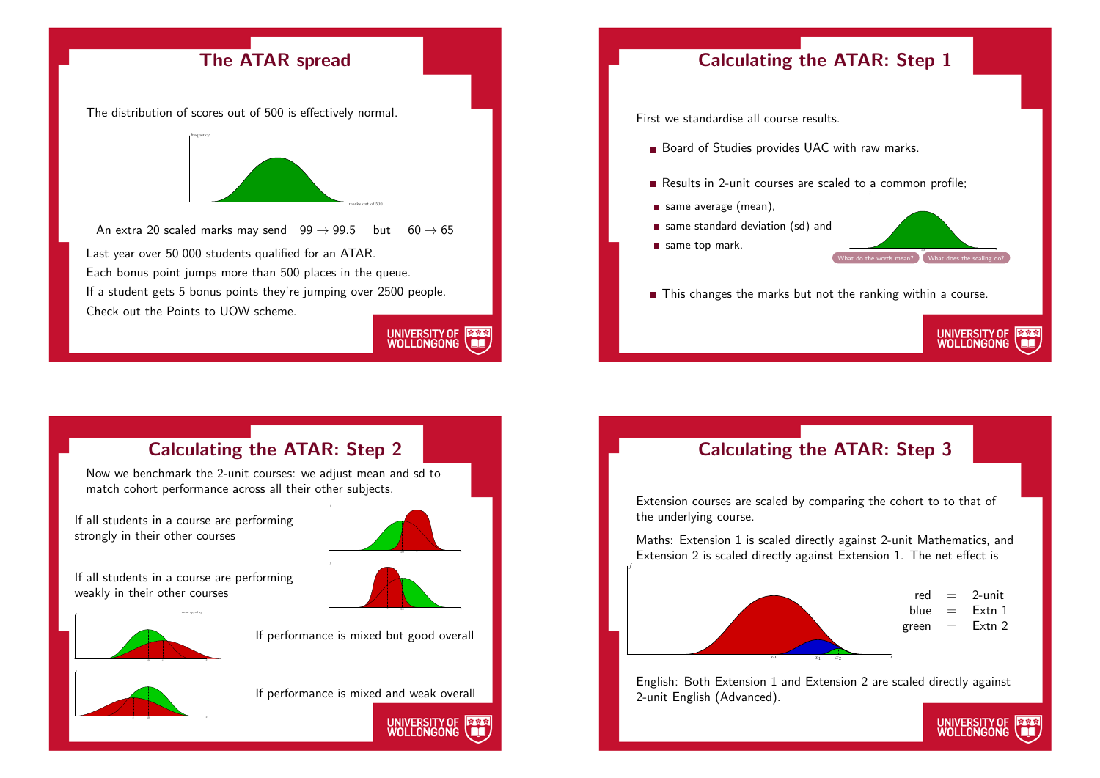





Now we benchmark the 2-unit courses: we adjust mean and sd to match cohort performance across all their other subjects.

If all students in a course are performing strongly in their other courses

If all students in a course are performing weakly in their other courses

 $\mathbf{r}$ 



x 50 x¯



If performance is mixed but good overall



x¯ 50

If performance is mixed and weak overall



# Calculating the ATAR: Step 3

Extension courses are scaled by comparing the cohort to to that of the underlying course.

f

Maths: Extension 1 is scaled directly against 2-unit Mathematics, and Extension 2 is scaled directly against Extension 1. The net effect is



English: Both Extension 1 and Extension 2 are scaled directly against 2-unit English (Advanced).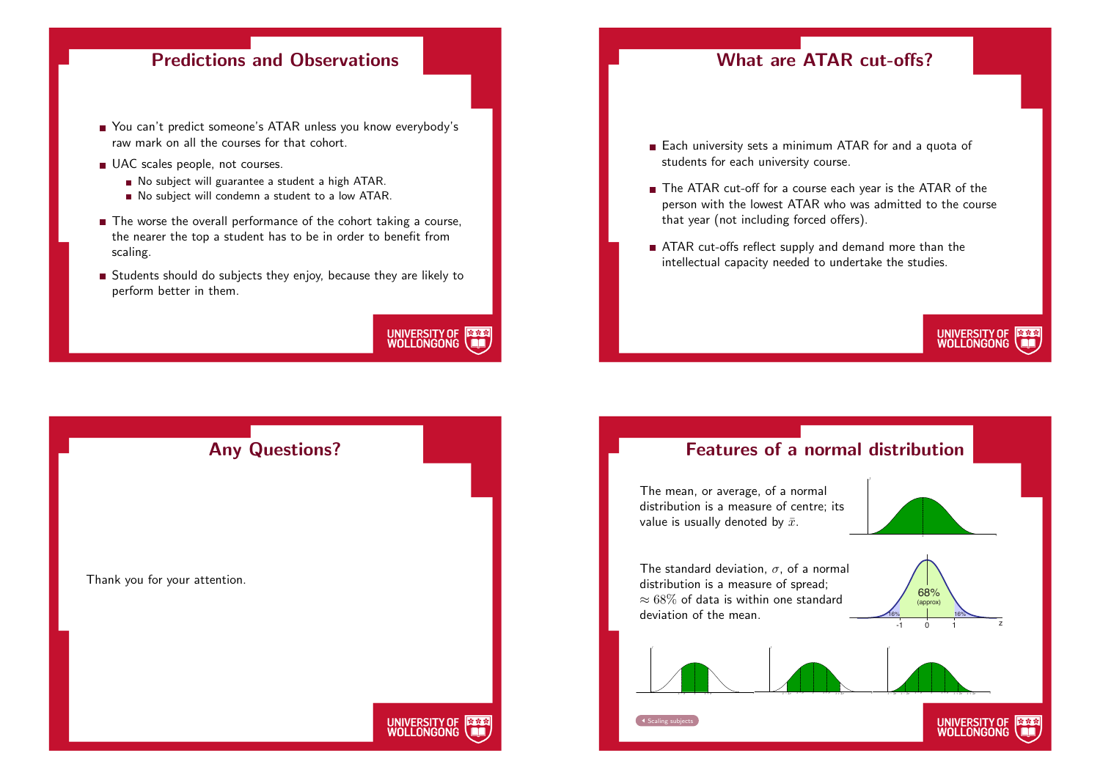### Predictions and Observations

- You can't predict someone's ATAR unless you know everybody's raw mark on all the courses for that cohort.
- UAC scales people, not courses.
	- No subject will guarantee a student a high ATAR.
	- No subject will condemn a student to a low ATAR.
- The worse the overall performance of the cohort taking a course, the nearer the top a student has to be in order to benefit from scaling.
- Students should do subjects they enjoy, because they are likely to perform better in them.



#### What are ATAR cut-offs?

- Each university sets a minimum ATAR for and a quota of students for each university course.
- The ATAR cut-off for a course each year is the ATAR of the person with the lowest ATAR who was admitted to the course that year (not including forced offers).
- ATAR cut-offs reflect supply and demand more than the intellectual capacity needed to undertake the studies.

# UNIVERSITY OF<br>WOLLONGONG